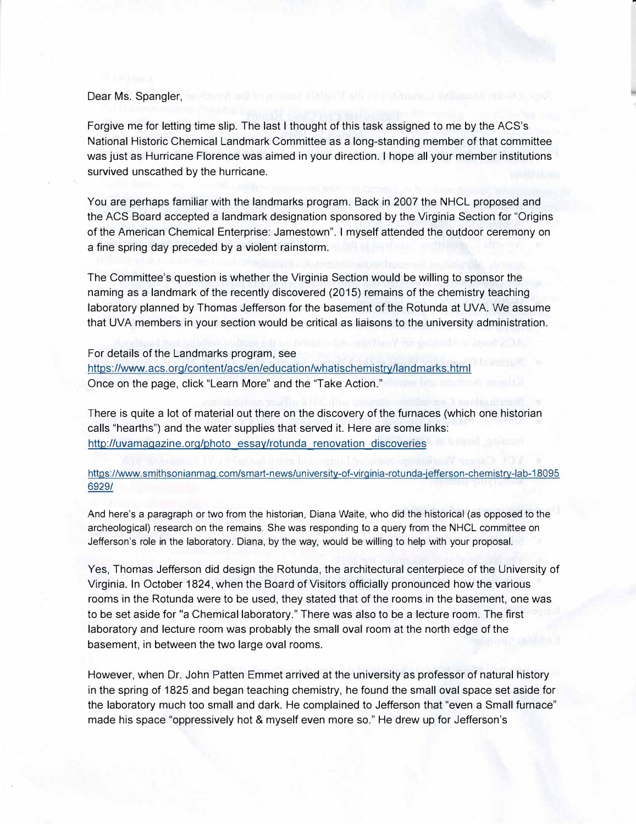## Dear Ms. Spangler, we see the figure of the property of the state of the second

Forgive me for letting time slip. The last I thought of this task assigned to me by the ACS's National Historic Chemical Landmark Committee as a long-standing member of that committee was just as Hurricane Florence was aimed in your direction. I hope all your member institutions survived unscathed by the hurricane.

You are perhaps familiar with the landmarks program. Back in 2007 the NHCL proposed and the ACS Board accepted a landmark designation sponsored by the Virginia Section for "Origins of the American Chemical Enterprise: Jamestown". I myself attended the outdoor ceremony on a fine spring day preceded by a violent rainstorm.

The Committee's question is whether the Virginia Section would be willing to sponsor the naming as a landmark of the recently discovered (2015) remains of the chemistry teaching laboratory planned by Thomas Jefferson for the basement of the Rotunda at UVA. We assume that UVA members in your section would be critical as liaisons to the university administration.

For details of the Landmarks program, see https://www.acs.org/content/acs/en/education/whatischemistry/landmarks.html Once on the page, click "Learn More" and the "Take Action."

There is quite a lot of material out there on the discovery of the furnaces (which one historian calls "hearths") and the water supplies that served it. Here are some links: http://uvamagazine.org/photo essay/rotunda renovation discoveries

## https://www.smithsonianmag.com/smart-news/university-of-virginia-rotunda-jefferson-chemistry-lab-18095 6929/

And here's a paragraph or two from the historian, Diana Waite, who did the historical (as opposed to the archeological) research on the remains. She was responding to a query from the NHCL committee on Jefferson's role in the laboratory. Diana, by the way, would be willing to help with your proposal.

Yes, Thomas Jefferson did design the Rotunda, the architectural centerpiece of the University of Virginia. In October 1824, when the Board of Visitors officially pronounced how the various rooms in the Rotunda were to be used, they stated that of the rooms in the basement, one was to be set aside for "a Chemical laboratory." There was also to be a lecture room. The first laboratory and lecture room was probably the small oval room at the north edge of the basement, in between the two large oval rooms.

However, when Dr. John Patten Emmet arrived at the university as professor of natural history in the spring of 1825 and began teaching chemistry, he found the small oval space set aside for the laboratory much too small and dark. He complained to Jefferson that "even a Small furnace" made his space "oppressively hot & myself even more so." He drew up for Jefferson's